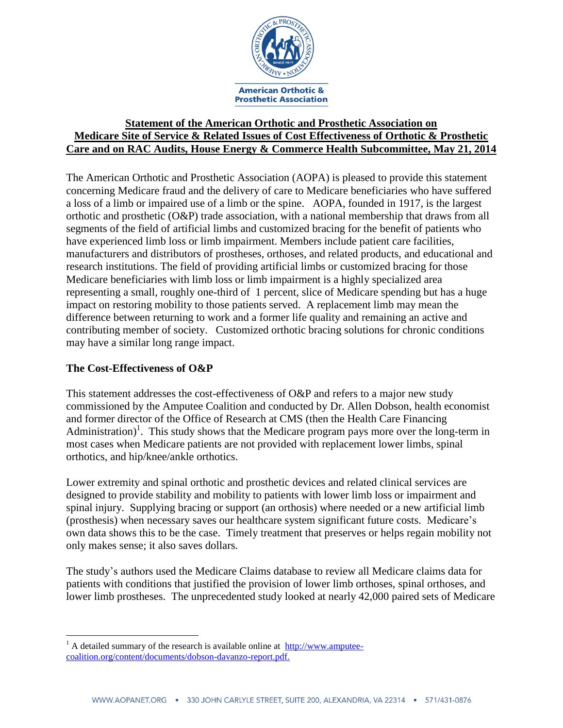

## **Statement of the American Orthotic and Prosthetic Association on Medicare Site of Service & Related Issues of Cost Effectiveness of Orthotic & Prosthetic Care and on RAC Audits, House Energy & Commerce Health Subcommittee, May 21, 2014**

The American Orthotic and Prosthetic Association (AOPA) is pleased to provide this statement concerning Medicare fraud and the delivery of care to Medicare beneficiaries who have suffered a loss of a limb or impaired use of a limb or the spine. AOPA, founded in 1917, is the largest orthotic and prosthetic (O&P) trade association, with a national membership that draws from all segments of the field of artificial limbs and customized bracing for the benefit of patients who have experienced limb loss or limb impairment. Members include patient care facilities, manufacturers and distributors of prostheses, orthoses, and related products, and educational and research institutions. The field of providing artificial limbs or customized bracing for those Medicare beneficiaries with limb loss or limb impairment is a highly specialized area representing a small, roughly one-third of 1 percent, slice of Medicare spending but has a huge impact on restoring mobility to those patients served. A replacement limb may mean the difference between returning to work and a former life quality and remaining an active and contributing member of society. Customized orthotic bracing solutions for chronic conditions may have a similar long range impact.

## **The Cost-Effectiveness of O&P**

 $\overline{a}$ 

This statement addresses the cost-effectiveness of O&P and refers to a major new study commissioned by the Amputee Coalition and conducted by Dr. Allen Dobson, health economist and former director of the Office of Research at CMS (then the Health Care Financing Administration)<sup>1</sup>. This study shows that the Medicare program pays more over the long-term in most cases when Medicare patients are not provided with replacement lower limbs, spinal orthotics, and hip/knee/ankle orthotics.

Lower extremity and spinal orthotic and prosthetic devices and related clinical services are designed to provide stability and mobility to patients with lower limb loss or impairment and spinal injury. Supplying bracing or support (an orthosis) where needed or a new artificial limb (prosthesis) when necessary saves our healthcare system significant future costs. Medicare's own data shows this to be the case. Timely treatment that preserves or helps regain mobility not only makes sense; it also saves dollars.

The study's authors used the Medicare Claims database to review all Medicare claims data for patients with conditions that justified the provision of lower limb orthoses, spinal orthoses, and lower limb prostheses. The unprecedented study looked at nearly 42,000 paired sets of Medicare

 $1$  A detailed summary of the research is available online at  $\frac{http://www.amputee-}{http://www.amputee-}$ [coalition.org/content/documents/dobson-davanzo-report.pdf.](http://www.amputee-coalition.org/content/documents/dobson-davanzo-report.pdf)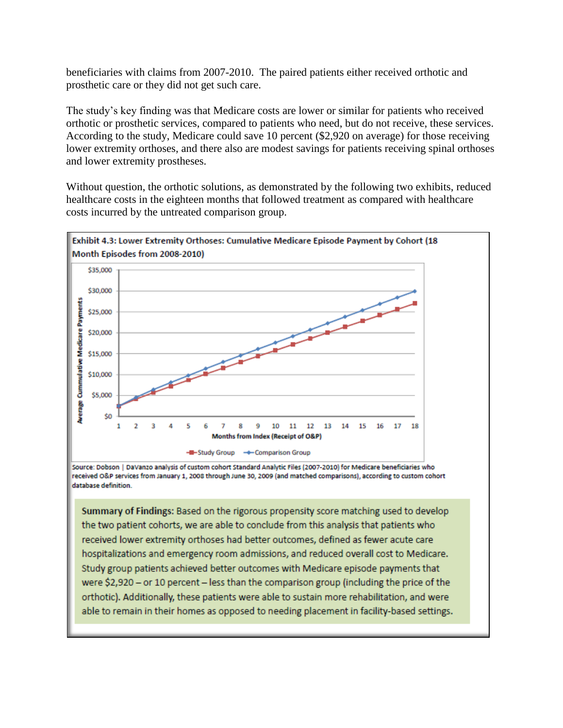beneficiaries with claims from 2007-2010. The paired patients either received orthotic and prosthetic care or they did not get such care.

The study's key finding was that Medicare costs are lower or similar for patients who received orthotic or prosthetic services, compared to patients who need, but do not receive, these services. According to the study, Medicare could save 10 percent (\$2,920 on average) for those receiving lower extremity orthoses, and there also are modest savings for patients receiving spinal orthoses and lower extremity prostheses.

Without question, the orthotic solutions, as demonstrated by the following two exhibits, reduced healthcare costs in the eighteen months that followed treatment as compared with healthcare costs incurred by the untreated comparison group.



Source: Dobson | DaVanzo analysis of custom cohort Standard Analytic Files (2007-2010) for Medicare beneficiaries who received O&P services from January 1, 2008 through June 30, 2009 (and matched comparisons), according to custom cohort database definition.

Summary of Findings: Based on the rigorous propensity score matching used to develop the two patient cohorts, we are able to conclude from this analysis that patients who received lower extremity orthoses had better outcomes, defined as fewer acute care hospitalizations and emergency room admissions, and reduced overall cost to Medicare. Study group patients achieved better outcomes with Medicare episode payments that were \$2,920 - or 10 percent - less than the comparison group (including the price of the orthotic). Additionally, these patients were able to sustain more rehabilitation, and were able to remain in their homes as opposed to needing placement in facility-based settings.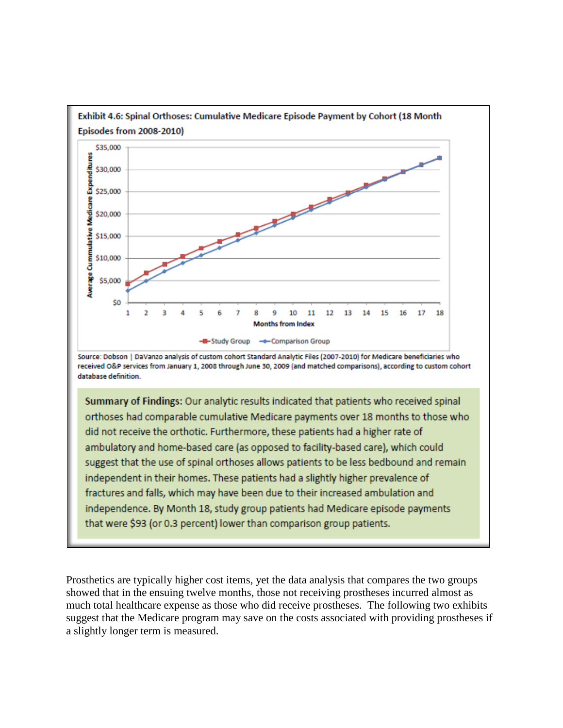

independence. By Month 18, study group patients had Medicare episode payments that were \$93 (or 0.3 percent) lower than comparison group patients.

Prosthetics are typically higher cost items, yet the data analysis that compares the two groups showed that in the ensuing twelve months, those not receiving prostheses incurred almost as much total healthcare expense as those who did receive prostheses. The following two exhibits suggest that the Medicare program may save on the costs associated with providing prostheses if a slightly longer term is measured.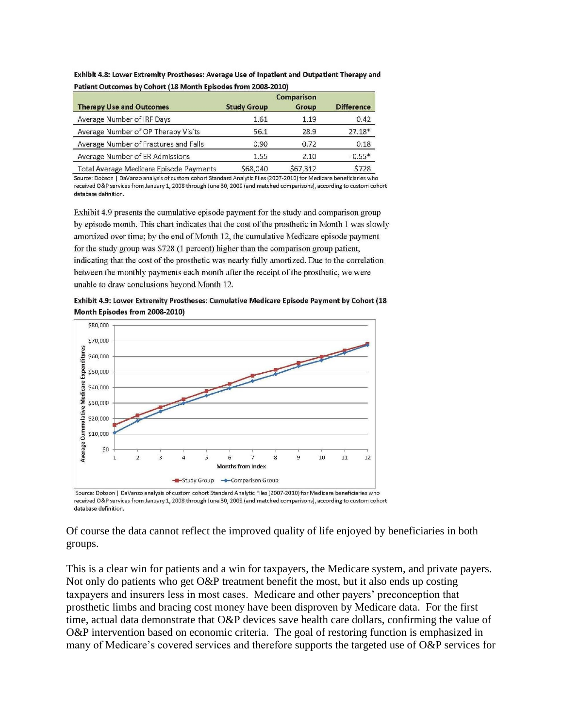| Patient Outcomes by Conort (18 Month Episodes from 2008-2010)<br><b>Therapy Use and Outcomes</b> | <b>Comparison</b>  |          |                   |
|--------------------------------------------------------------------------------------------------|--------------------|----------|-------------------|
|                                                                                                  | <b>Study Group</b> | Group    | <b>Difference</b> |
| Average Number of IRF Days                                                                       | 1.61               | 1.19     | 0.42              |
| Average Number of OP Therapy Visits                                                              | 56.1               | 28.9     | $27.18*$          |
| Average Number of Fractures and Falls                                                            | 0.90               | 0.72     | 0.18              |
| Average Number of ER Admissions                                                                  | 1.55               | 2.10     | $-0.55*$          |
| Total Average Medicare Episode Payments                                                          | \$68,040           | \$67,312 | \$728             |

Exhibit 4.8: Lower Extremity Prostheses: Average Use of Inpatient and Outpatient Therapy and  $\overline{a}$   $\overline{b}$   $\overline{a}$   $\overline{b}$   $\overline{a}$   $\overline{a}$   $\overline{b}$   $\overline{a}$   $\overline{b}$   $\overline{a}$   $\overline{b}$   $\overline{a}$   $\overline{b}$   $\overline{a}$   $\overline{b}$   $\overline{a}$   $\overline{b}$   $\overline{a}$   $\overline{b}$   $\overline{a}$   $\overline{b}$   $\overline{a}$   $\overline{b}$   $\overline{a}$   $\overline{$ **Contract Contract Advised** 

Source: Dobson | DaVanzo analysis of custom cohort Standard Analytic Files (2007-2010) for Medicare beneficiaries who received O&P services from January 1, 2008 through June 30, 2009 (and matched comparisons), according to custom cohort database definition.

Exhibit 4.9 presents the cumulative episode payment for the study and comparison group by episode month. This chart indicates that the cost of the prosthetic in Month 1 was slowly amortized over time; by the end of Month 12, the cumulative Medicare episode payment for the study group was \$728 (1 percent) higher than the comparison group patient, indicating that the cost of the prosthetic was nearly fully amortized. Due to the correlation between the monthly payments each month after the receipt of the prosthetic, we were unable to draw conclusions beyond Month 12.

Exhibit 4.9: Lower Extremity Prostheses: Cumulative Medicare Episode Payment by Cohort (18 Month Episodes from 2008-2010)



Source: Dobson | DaVanzo analysis of custom cohort Standard Analytic Files (2007-2010) for Medicare beneficiaries who received O&P services from January 1, 2008 through June 30, 2009 (and matched comparisons), according to custom cohort database definition.

Of course the data cannot reflect the improved quality of life enjoyed by beneficiaries in both groups.

This is a clear win for patients and a win for taxpayers, the Medicare system, and private payers. Not only do patients who get O&P treatment benefit the most, but it also ends up costing taxpayers and insurers less in most cases. Medicare and other payers' preconception that prosthetic limbs and bracing cost money have been disproven by Medicare data. For the first time, actual data demonstrate that O&P devices save health care dollars, confirming the value of O&P intervention based on economic criteria. The goal of restoring function is emphasized in many of Medicare's covered services and therefore supports the targeted use of O&P services for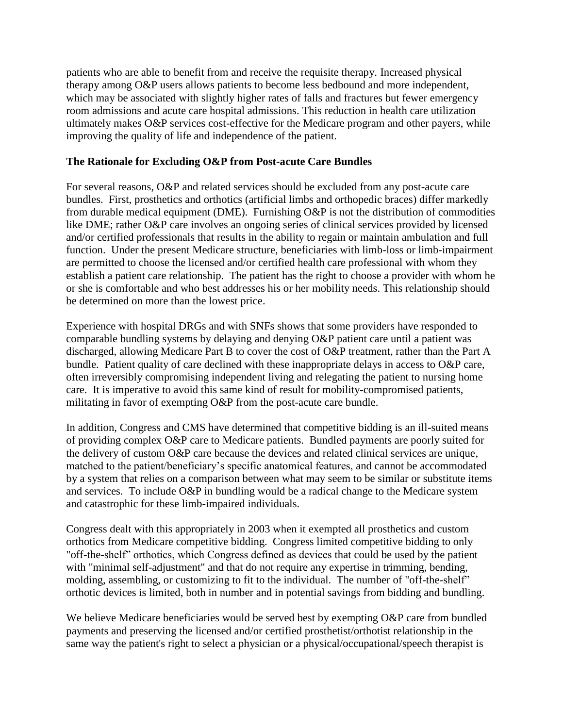patients who are able to benefit from and receive the requisite therapy. Increased physical therapy among O&P users allows patients to become less bedbound and more independent, which may be associated with slightly higher rates of falls and fractures but fewer emergency room admissions and acute care hospital admissions. This reduction in health care utilization ultimately makes O&P services cost-effective for the Medicare program and other payers, while improving the quality of life and independence of the patient.

#### **The Rationale for Excluding O&P from Post-acute Care Bundles**

For several reasons, O&P and related services should be excluded from any post-acute care bundles. First, prosthetics and orthotics (artificial limbs and orthopedic braces) differ markedly from durable medical equipment (DME). Furnishing O&P is not the distribution of commodities like DME; rather O&P care involves an ongoing series of clinical services provided by licensed and/or certified professionals that results in the ability to regain or maintain ambulation and full function. Under the present Medicare structure, beneficiaries with limb-loss or limb-impairment are permitted to choose the licensed and/or certified health care professional with whom they establish a patient care relationship. The patient has the right to choose a provider with whom he or she is comfortable and who best addresses his or her mobility needs. This relationship should be determined on more than the lowest price.

Experience with hospital DRGs and with SNFs shows that some providers have responded to comparable bundling systems by delaying and denying O&P patient care until a patient was discharged, allowing Medicare Part B to cover the cost of O&P treatment, rather than the Part A bundle. Patient quality of care declined with these inappropriate delays in access to O&P care, often irreversibly compromising independent living and relegating the patient to nursing home care. It is imperative to avoid this same kind of result for mobility-compromised patients, militating in favor of exempting O&P from the post-acute care bundle.

In addition, Congress and CMS have determined that competitive bidding is an ill-suited means of providing complex O&P care to Medicare patients. Bundled payments are poorly suited for the delivery of custom O&P care because the devices and related clinical services are unique, matched to the patient/beneficiary's specific anatomical features, and cannot be accommodated by a system that relies on a comparison between what may seem to be similar or substitute items and services. To include O&P in bundling would be a radical change to the Medicare system and catastrophic for these limb-impaired individuals.

Congress dealt with this appropriately in 2003 when it exempted all prosthetics and custom orthotics from Medicare competitive bidding. Congress limited competitive bidding to only "off-the-shelf" orthotics, which Congress defined as devices that could be used by the patient with "minimal self-adjustment" and that do not require any expertise in trimming, bending, molding, assembling, or customizing to fit to the individual. The number of "off-the-shelf" orthotic devices is limited, both in number and in potential savings from bidding and bundling.

We believe Medicare beneficiaries would be served best by exempting O&P care from bundled payments and preserving the licensed and/or certified prosthetist/orthotist relationship in the same way the patient's right to select a physician or a physical/occupational/speech therapist is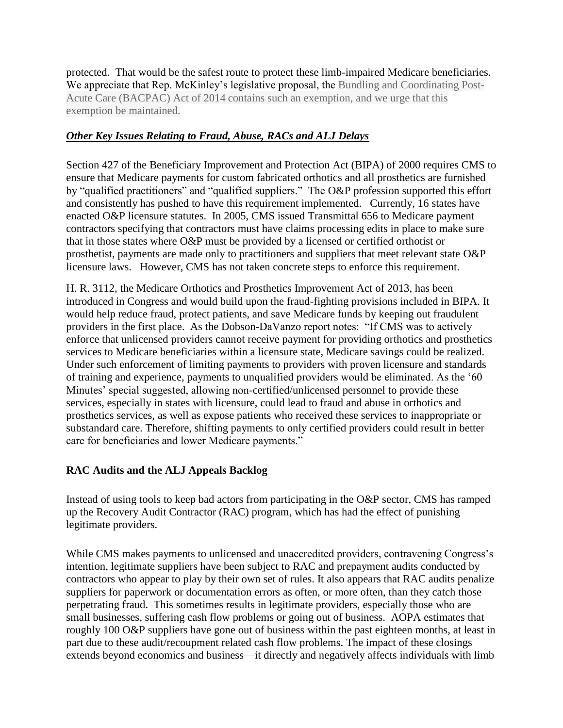protected. That would be the safest route to protect these limb-impaired Medicare beneficiaries. We appreciate that Rep. McKinley's legislative proposal, the Bundling and Coordinating Post-Acute Care (BACPAC) Act of 2014 contains such an exemption, and we urge that this exemption be maintained.

# *Other Key Issues Relating to Fraud, Abuse, RACs and ALJ Delays*

Section 427 of the Beneficiary Improvement and Protection Act (BIPA) of 2000 requires CMS to ensure that Medicare payments for custom fabricated orthotics and all prosthetics are furnished by "qualified practitioners" and "qualified suppliers." The O&P profession supported this effort and consistently has pushed to have this requirement implemented. Currently, 16 states have enacted O&P licensure statutes. In 2005, CMS issued Transmittal 656 to Medicare payment contractors specifying that contractors must have claims processing edits in place to make sure that in those states where O&P must be provided by a licensed or certified orthotist or prosthetist, payments are made only to practitioners and suppliers that meet relevant state O&P licensure laws. However, CMS has not taken concrete steps to enforce this requirement.

H. R. 3112, the Medicare Orthotics and Prosthetics Improvement Act of 2013, has been introduced in Congress and would build upon the fraud-fighting provisions included in BIPA. It would help reduce fraud, protect patients, and save Medicare funds by keeping out fraudulent providers in the first place. As the Dobson-DaVanzo report notes: "If CMS was to actively enforce that unlicensed providers cannot receive payment for providing orthotics and prosthetics services to Medicare beneficiaries within a licensure state, Medicare savings could be realized. Under such enforcement of limiting payments to providers with proven licensure and standards of training and experience, payments to unqualified providers would be eliminated. As the '60 Minutes' special suggested, allowing non-certified/unlicensed personnel to provide these services, especially in states with licensure, could lead to fraud and abuse in orthotics and prosthetics services, as well as expose patients who received these services to inappropriate or substandard care. Therefore, shifting payments to only certified providers could result in better care for beneficiaries and lower Medicare payments."

# **RAC Audits and the ALJ Appeals Backlog**

Instead of using tools to keep bad actors from participating in the O&P sector, CMS has ramped up the Recovery Audit Contractor (RAC) program, which has had the effect of punishing legitimate providers.

While CMS makes payments to unlicensed and unaccredited providers, contravening Congress's intention, legitimate suppliers have been subject to RAC and prepayment audits conducted by contractors who appear to play by their own set of rules. It also appears that RAC audits penalize suppliers for paperwork or documentation errors as often, or more often, than they catch those perpetrating fraud. This sometimes results in legitimate providers, especially those who are small businesses, suffering cash flow problems or going out of business. AOPA estimates that roughly 100 O&P suppliers have gone out of business within the past eighteen months, at least in part due to these audit/recoupment related cash flow problems. The impact of these closings extends beyond economics and business—it directly and negatively affects individuals with limb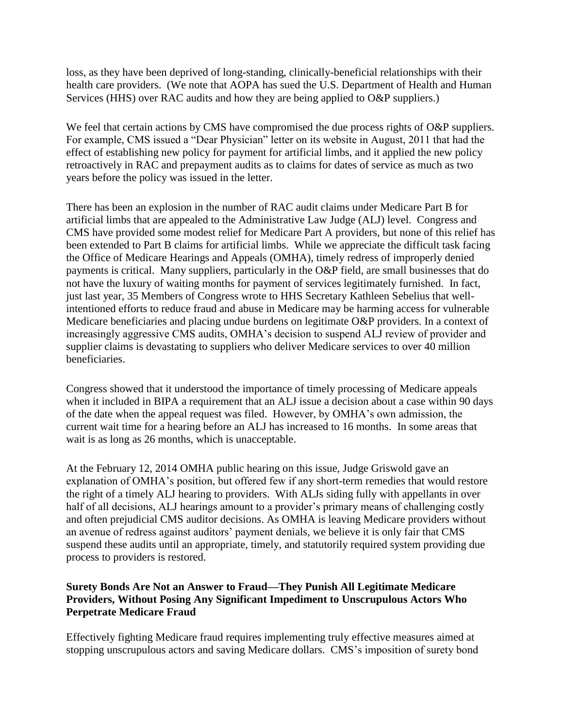loss, as they have been deprived of long-standing, clinically-beneficial relationships with their health care providers. (We note that AOPA has sued the U.S. Department of Health and Human Services (HHS) over RAC audits and how they are being applied to O&P suppliers.)

We feel that certain actions by CMS have compromised the due process rights of O&P suppliers. For example, CMS issued a "Dear Physician" letter on its website in August, 2011 that had the effect of establishing new policy for payment for artificial limbs, and it applied the new policy retroactively in RAC and prepayment audits as to claims for dates of service as much as two years before the policy was issued in the letter.

There has been an explosion in the number of RAC audit claims under Medicare Part B for artificial limbs that are appealed to the Administrative Law Judge (ALJ) level. Congress and CMS have provided some modest relief for Medicare Part A providers, but none of this relief has been extended to Part B claims for artificial limbs. While we appreciate the difficult task facing the Office of Medicare Hearings and Appeals (OMHA), timely redress of improperly denied payments is critical. Many suppliers, particularly in the O&P field, are small businesses that do not have the luxury of waiting months for payment of services legitimately furnished. In fact, just last year, 35 Members of Congress wrote to HHS Secretary Kathleen Sebelius that wellintentioned efforts to reduce fraud and abuse in Medicare may be harming access for vulnerable Medicare beneficiaries and placing undue burdens on legitimate O&P providers. In a context of increasingly aggressive CMS audits, OMHA's decision to suspend ALJ review of provider and supplier claims is devastating to suppliers who deliver Medicare services to over 40 million beneficiaries.

Congress showed that it understood the importance of timely processing of Medicare appeals when it included in BIPA a requirement that an ALJ issue a decision about a case within 90 days of the date when the appeal request was filed. However, by OMHA's own admission, the current wait time for a hearing before an ALJ has increased to 16 months. In some areas that wait is as long as 26 months, which is unacceptable.

At the February 12, 2014 OMHA public hearing on this issue, Judge Griswold gave an explanation of OMHA's position, but offered few if any short-term remedies that would restore the right of a timely ALJ hearing to providers. With ALJs siding fully with appellants in over half of all decisions, ALJ hearings amount to a provider's primary means of challenging costly and often prejudicial CMS auditor decisions. As OMHA is leaving Medicare providers without an avenue of redress against auditors' payment denials, we believe it is only fair that CMS suspend these audits until an appropriate, timely, and statutorily required system providing due process to providers is restored.

## **Surety Bonds Are Not an Answer to Fraud—They Punish All Legitimate Medicare Providers, Without Posing Any Significant Impediment to Unscrupulous Actors Who Perpetrate Medicare Fraud**

Effectively fighting Medicare fraud requires implementing truly effective measures aimed at stopping unscrupulous actors and saving Medicare dollars. CMS's imposition of surety bond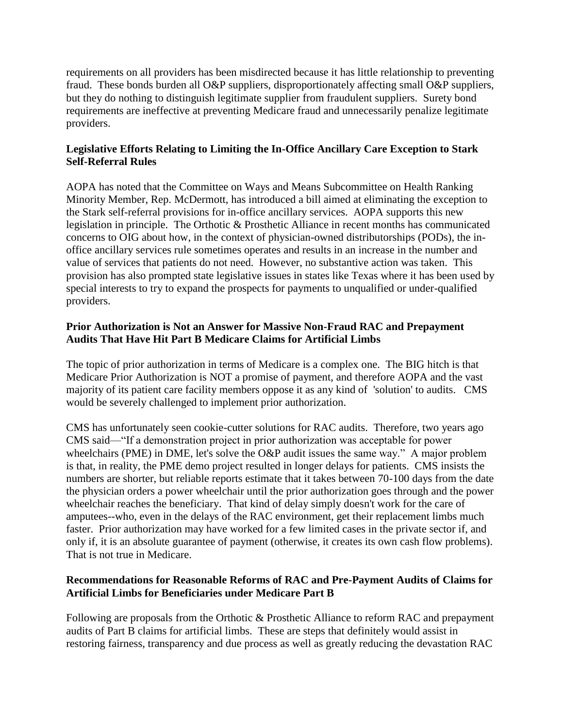requirements on all providers has been misdirected because it has little relationship to preventing fraud. These bonds burden all O&P suppliers, disproportionately affecting small O&P suppliers, but they do nothing to distinguish legitimate supplier from fraudulent suppliers. Surety bond requirements are ineffective at preventing Medicare fraud and unnecessarily penalize legitimate providers.

## **Legislative Efforts Relating to Limiting the In-Office Ancillary Care Exception to Stark Self-Referral Rules**

AOPA has noted that the Committee on Ways and Means Subcommittee on Health Ranking Minority Member, Rep. McDermott, has introduced a bill aimed at eliminating the exception to the Stark self-referral provisions for in-office ancillary services. AOPA supports this new legislation in principle. The Orthotic & Prosthetic Alliance in recent months has communicated concerns to OIG about how, in the context of physician-owned distributorships (PODs), the inoffice ancillary services rule sometimes operates and results in an increase in the number and value of services that patients do not need. However, no substantive action was taken. This provision has also prompted state legislative issues in states like Texas where it has been used by special interests to try to expand the prospects for payments to unqualified or under-qualified providers.

## **Prior Authorization is Not an Answer for Massive Non-Fraud RAC and Prepayment Audits That Have Hit Part B Medicare Claims for Artificial Limbs**

The topic of prior authorization in terms of Medicare is a complex one. The BIG hitch is that Medicare Prior Authorization is NOT a promise of payment, and therefore AOPA and the vast majority of its patient care facility members oppose it as any kind of 'solution' to audits. CMS would be severely challenged to implement prior authorization.

CMS has unfortunately seen cookie-cutter solutions for RAC audits. Therefore, two years ago CMS said—"If a demonstration project in prior authorization was acceptable for power wheelchairs (PME) in DME, let's solve the O&P audit issues the same way." A major problem is that, in reality, the PME demo project resulted in longer delays for patients. CMS insists the numbers are shorter, but reliable reports estimate that it takes between 70-100 days from the date the physician orders a power wheelchair until the prior authorization goes through and the power wheelchair reaches the beneficiary. That kind of delay simply doesn't work for the care of amputees--who, even in the delays of the RAC environment, get their replacement limbs much faster. Prior authorization may have worked for a few limited cases in the private sector if, and only if, it is an absolute guarantee of payment (otherwise, it creates its own cash flow problems). That is not true in Medicare.

### **Recommendations for Reasonable Reforms of RAC and Pre-Payment Audits of Claims for Artificial Limbs for Beneficiaries under Medicare Part B**

Following are proposals from the Orthotic & Prosthetic Alliance to reform RAC and prepayment audits of Part B claims for artificial limbs. These are steps that definitely would assist in restoring fairness, transparency and due process as well as greatly reducing the devastation RAC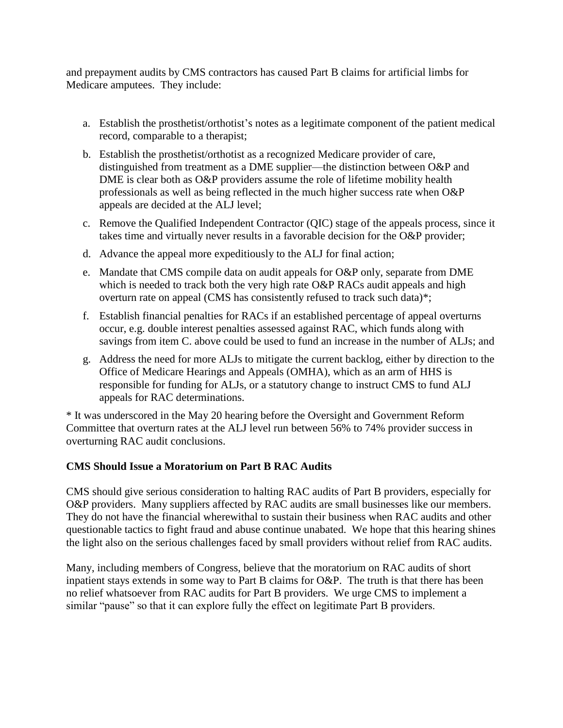and prepayment audits by CMS contractors has caused Part B claims for artificial limbs for Medicare amputees. They include:

- a. Establish the prosthetist/orthotist's notes as a legitimate component of the patient medical record, comparable to a therapist;
- b. Establish the prosthetist/orthotist as a recognized Medicare provider of care, distinguished from treatment as a DME supplier—the distinction between O&P and DME is clear both as O&P providers assume the role of lifetime mobility health professionals as well as being reflected in the much higher success rate when O&P appeals are decided at the ALJ level;
- c. Remove the Qualified Independent Contractor (QIC) stage of the appeals process, since it takes time and virtually never results in a favorable decision for the O&P provider;
- d. Advance the appeal more expeditiously to the ALJ for final action;
- e. Mandate that CMS compile data on audit appeals for O&P only, separate from DME which is needed to track both the very high rate O&P RACs audit appeals and high overturn rate on appeal (CMS has consistently refused to track such data)\*;
- f. Establish financial penalties for RACs if an established percentage of appeal overturns occur, e.g. double interest penalties assessed against RAC, which funds along with savings from item C. above could be used to fund an increase in the number of ALJs; and
- g. Address the need for more ALJs to mitigate the current backlog, either by direction to the Office of Medicare Hearings and Appeals (OMHA), which as an arm of HHS is responsible for funding for ALJs, or a statutory change to instruct CMS to fund ALJ appeals for RAC determinations.

\* It was underscored in the May 20 hearing before the Oversight and Government Reform Committee that overturn rates at the ALJ level run between 56% to 74% provider success in overturning RAC audit conclusions.

### **CMS Should Issue a Moratorium on Part B RAC Audits**

CMS should give serious consideration to halting RAC audits of Part B providers, especially for O&P providers. Many suppliers affected by RAC audits are small businesses like our members. They do not have the financial wherewithal to sustain their business when RAC audits and other questionable tactics to fight fraud and abuse continue unabated. We hope that this hearing shines the light also on the serious challenges faced by small providers without relief from RAC audits.

Many, including members of Congress, believe that the moratorium on RAC audits of short inpatient stays extends in some way to Part B claims for O&P. The truth is that there has been no relief whatsoever from RAC audits for Part B providers. We urge CMS to implement a similar "pause" so that it can explore fully the effect on legitimate Part B providers.